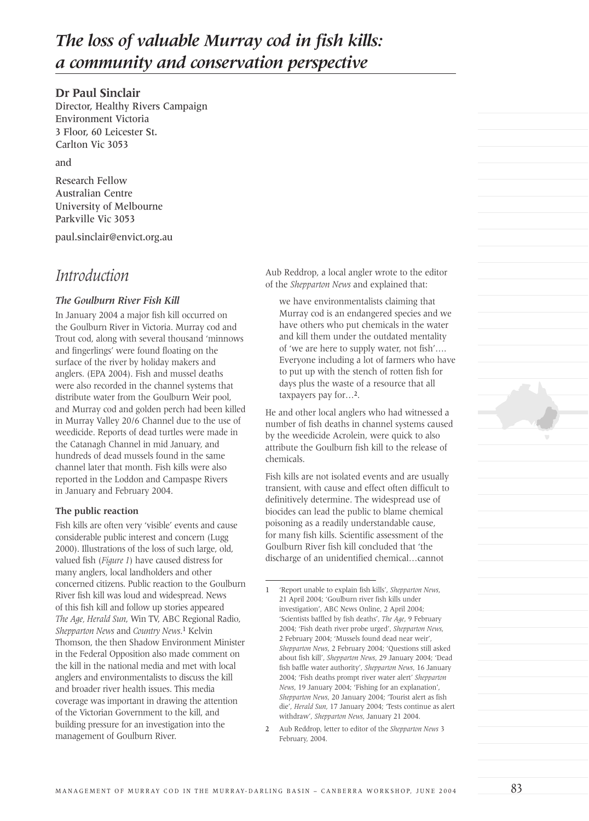# *The loss of valuable Murray cod in fish kills: a community and conservation perspective*

#### **Dr Paul Sinclair**

Director, Healthy Rivers Campaign Environment Victoria 3 Floor, 60 Leicester St. Carlton Vic 3053

and

Research Fellow Australian Centre University of Melbourne Parkville Vic 3053

paul.sinclair@envict.org.au

### *Introduction*

#### *The Goulburn River Fish Kill*

In January 2004 a major fish kill occurred on the Goulburn River in Victoria. Murray cod and Trout cod, along with several thousand 'minnows and fingerlings' were found floating on the surface of the river by holiday makers and anglers. (EPA 2004). Fish and mussel deaths were also recorded in the channel systems that distribute water from the Goulburn Weir pool, and Murray cod and golden perch had been killed in Murray Valley 20/6 Channel due to the use of weedicide. Reports of dead turtles were made in the Catanagh Channel in mid January, and hundreds of dead mussels found in the same channel later that month. Fish kills were also reported in the Loddon and Campaspe Rivers in January and February 2004.

#### **The public reaction**

Fish kills are often very 'visible' events and cause considerable public interest and concern (Lugg 2000). Illustrations of the loss of such large, old, valued fish (*Figure 1*) have caused distress for many anglers, local landholders and other concerned citizens. Public reaction to the Goulburn River fish kill was loud and widespread. News of this fish kill and follow up stories appeared *The Age, Herald Sun*, Win TV, ABC Regional Radio, *Shepparton News* and *Country News*.<sup>1</sup> Kelvin Thomson, the then Shadow Environment Minister in the Federal Opposition also made comment on the kill in the national media and met with local anglers and environmentalists to discuss the kill and broader river health issues. This media coverage was important in drawing the attention of the Victorian Government to the kill, and building pressure for an investigation into the management of Goulburn River.

Aub Reddrop, a local angler wrote to the editor of the *Shepparton News* and explained that:

we have environmentalists claiming that Murray cod is an endangered species and we have others who put chemicals in the water and kill them under the outdated mentality of 'we are here to supply water, not fish'…. Everyone including a lot of farmers who have to put up with the stench of rotten fish for days plus the waste of a resource that all taxpayers pay for…2.

He and other local anglers who had witnessed a number of fish deaths in channel systems caused by the weedicide Acrolein, were quick to also attribute the Goulburn fish kill to the release of chemicals.

Fish kills are not isolated events and are usually transient, with cause and effect often difficult to definitively determine. The widespread use of biocides can lead the public to blame chemical poisoning as a readily understandable cause, for many fish kills. Scientific assessment of the Goulburn River fish kill concluded that 'the discharge of an unidentified chemical…cannot

<sup>1</sup> 'Report unable to explain fish kills', *Shepparton News*, 21 April 2004; 'Goulburn river fish kills under investigation', ABC News Online, 2 April 2004; 'Scientists baffled by fish deaths', *The Age*, 9 February 2004; 'Fish death river probe urged', *Shepparton News*, 2 February 2004; 'Mussels found dead near weir', *Shepparton News*, 2 February 2004; 'Questions still asked about fish kill', *Shepparton News*, 29 January 2004; 'Dead fish baffle water authority', *Shepparton News*, 16 January 2004; 'Fish deaths prompt river water alert' *Shepparton News*, 19 January 2004; 'Fishing for an explanation', *Shepparton News*, 20 January 2004; 'Tourist alert as fish die', *Herald Sun*, 17 January 2004; 'Tests continue as alert withdraw', *Shepparton News*, January 21 2004.

<sup>2</sup> Aub Reddrop, letter to editor of the *Shepparton News* 3 February, 2004.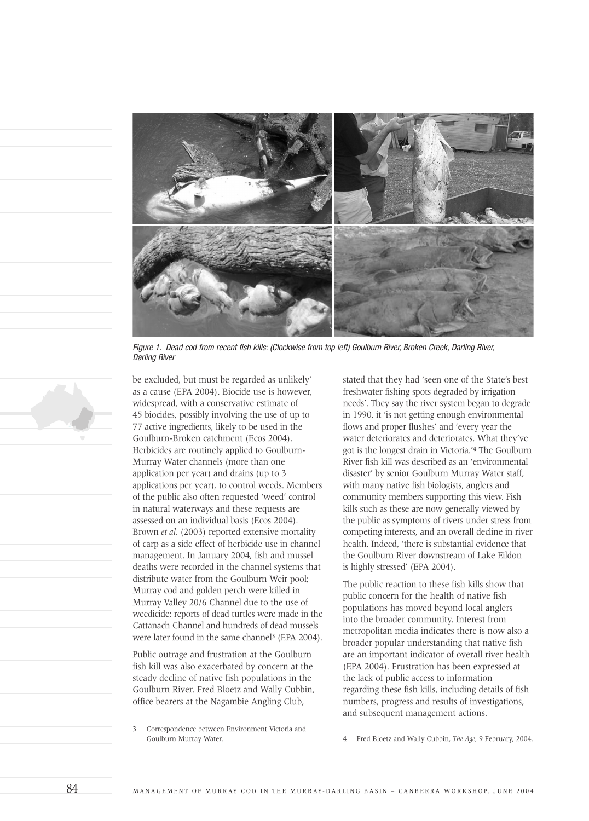

Figure 1. Dead cod from recent fish kills: (Clockwise from top left) Goulburn River, Broken Creek, Darling River, Darling River

be excluded, but must be regarded as unlikely' as a cause (EPA 2004). Biocide use is however, widespread, with a conservative estimate of 45 biocides, possibly involving the use of up to 77 active ingredients, likely to be used in the Goulburn-Broken catchment (Ecos 2004). Herbicides are routinely applied to Goulburn-Murray Water channels (more than one application per year) and drains (up to 3 applications per year), to control weeds. Members of the public also often requested 'weed' control in natural waterways and these requests are assessed on an individual basis (Ecos 2004). Brown *et al*. (2003) reported extensive mortality of carp as a side effect of herbicide use in channel management. In January 2004, fish and mussel deaths were recorded in the channel systems that distribute water from the Goulburn Weir pool; Murray cod and golden perch were killed in Murray Valley 20/6 Channel due to the use of weedicide; reports of dead turtles were made in the Cattanach Channel and hundreds of dead mussels were later found in the same channel<sup>3</sup> (EPA 2004).

Public outrage and frustration at the Goulburn fish kill was also exacerbated by concern at the steady decline of native fish populations in the Goulburn River. Fred Bloetz and Wally Cubbin, office bearers at the Nagambie Angling Club,

stated that they had 'seen one of the State's best freshwater fishing spots degraded by irrigation needs'. They say the river system began to degrade in 1990, it 'is not getting enough environmental flows and proper flushes' and 'every year the water deteriorates and deteriorates. What they've got is the longest drain in Victoria.'<sup>4</sup> The Goulburn River fish kill was described as an 'environmental disaster' by senior Goulburn Murray Water staff, with many native fish biologists, anglers and community members supporting this view. Fish kills such as these are now generally viewed by the public as symptoms of rivers under stress from competing interests, and an overall decline in river health. Indeed, 'there is substantial evidence that the Goulburn River downstream of Lake Eildon is highly stressed' (EPA 2004).

The public reaction to these fish kills show that public concern for the health of native fish populations has moved beyond local anglers into the broader community. Interest from metropolitan media indicates there is now also a broader popular understanding that native fish are an important indicator of overall river health (EPA 2004). Frustration has been expressed at the lack of public access to information regarding these fish kills, including details of fish numbers, progress and results of investigations, and subsequent management actions.

<sup>3</sup> Correspondence between Environment Victoria and Goulburn Murray Water. 4 Fred Bloetz and Wally Cubbin, *The Age*, 9 February, 2004.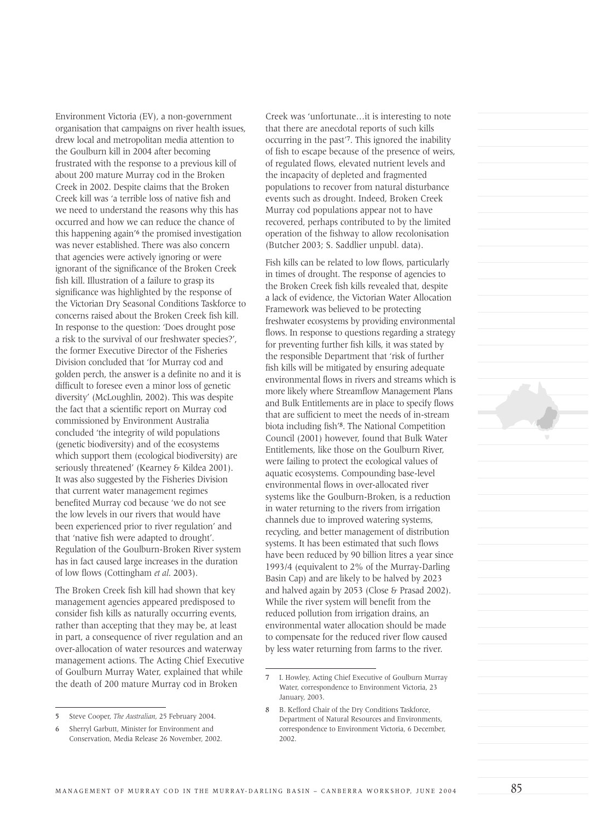Environment Victoria (EV), a non-government organisation that campaigns on river health issues, drew local and metropolitan media attention to the Goulburn kill in 2004 after becoming frustrated with the response to a previous kill of about 200 mature Murray cod in the Broken Creek in 2002. Despite claims that the Broken Creek kill was 'a terrible loss of native fish and we need to understand the reasons why this has occurred and how we can reduce the chance of this happening again'<sup>6</sup> the promised investigation was never established. There was also concern that agencies were actively ignoring or were ignorant of the significance of the Broken Creek fish kill. Illustration of a failure to grasp its significance was highlighted by the response of the Victorian Dry Seasonal Conditions Taskforce to concerns raised about the Broken Creek fish kill. In response to the question: 'Does drought pose a risk to the survival of our freshwater species?', the former Executive Director of the Fisheries Division concluded that 'for Murray cod and golden perch, the answer is a definite no and it is difficult to foresee even a minor loss of genetic diversity' (McLoughlin, 2002). This was despite the fact that a scientific report on Murray cod commissioned by Environment Australia concluded 'the integrity of wild populations (genetic biodiversity) and of the ecosystems which support them (ecological biodiversity) are seriously threatened' (Kearney & Kildea 2001). It was also suggested by the Fisheries Division that current water management regimes benefited Murray cod because 'we do not see the low levels in our rivers that would have been experienced prior to river regulation' and that 'native fish were adapted to drought'. Regulation of the Goulburn-Broken River system has in fact caused large increases in the duration of low flows (Cottingham *et al*. 2003).

The Broken Creek fish kill had shown that key management agencies appeared predisposed to consider fish kills as naturally occurring events, rather than accepting that they may be, at least in part, a consequence of river regulation and an over-allocation of water resources and waterway management actions. The Acting Chief Executive of Goulburn Murray Water, explained that while the death of 200 mature Murray cod in Broken

Creek was 'unfortunate…it is interesting to note that there are anecdotal reports of such kills occurring in the past'<sup>7</sup>. This ignored the inability of fish to escape because of the presence of weirs, of regulated flows, elevated nutrient levels and the incapacity of depleted and fragmented populations to recover from natural disturbance events such as drought. Indeed, Broken Creek Murray cod populations appear not to have recovered, perhaps contributed to by the limited operation of the fishway to allow recolonisation (Butcher 2003; S. Saddlier unpubl. data).

Fish kills can be related to low flows, particularly in times of drought. The response of agencies to the Broken Creek fish kills revealed that, despite a lack of evidence, the Victorian Water Allocation Framework was believed to be protecting freshwater ecosystems by providing environmental flows. In response to questions regarding a strategy for preventing further fish kills, it was stated by the responsible Department that 'risk of further fish kills will be mitigated by ensuring adequate environmental flows in rivers and streams which is more likely where Streamflow Management Plans and Bulk Entitlements are in place to specify flows that are sufficient to meet the needs of in-stream biota including fish'8. The National Competition Council (2001) however, found that Bulk Water Entitlements, like those on the Goulburn River, were failing to protect the ecological values of aquatic ecosystems. Compounding base-level environmental flows in over-allocated river systems like the Goulburn-Broken, is a reduction in water returning to the rivers from irrigation channels due to improved watering systems, recycling, and better management of distribution systems. It has been estimated that such flows have been reduced by 90 billion litres a year since 1993/4 (equivalent to 2% of the Murray-Darling Basin Cap) and are likely to be halved by 2023 and halved again by 2053 (Close & Prasad 2002). While the river system will benefit from the reduced pollution from irrigation drains, an environmental water allocation should be made to compensate for the reduced river flow caused by less water returning from farms to the river.

<sup>5</sup> Steve Cooper, *The Australian*, 25 February 2004.

<sup>6</sup> Sherryl Garbutt, Minister for Environment and Conservation, Media Release 26 November, 2002.

<sup>7</sup> I. Howley, Acting Chief Executive of Goulburn Murray Water, correspondence to Environment Victoria, 23 January, 2003.

<sup>8</sup> B. Kefford Chair of the Dry Conditions Taskforce, Department of Natural Resources and Environments, correspondence to Environment Victoria, 6 December, 2002.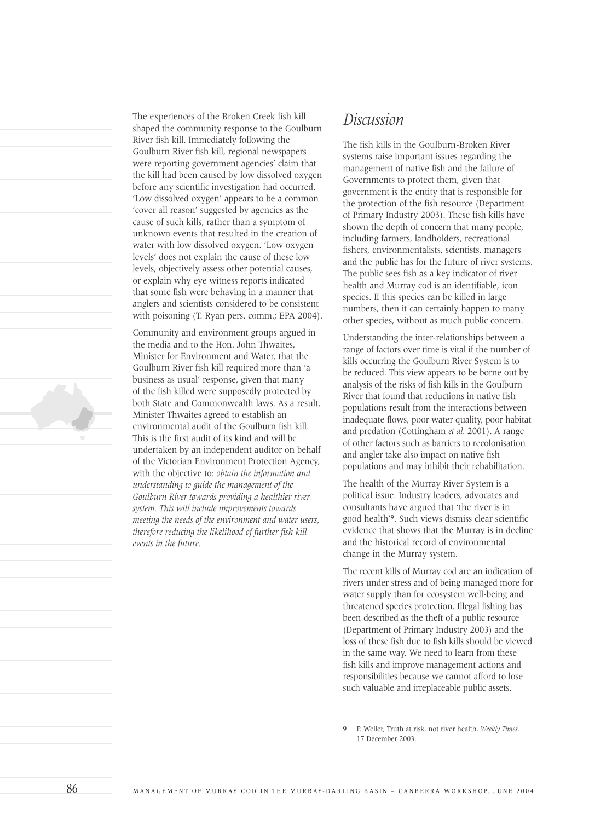The experiences of the Broken Creek fish kill shaped the community response to the Goulburn River fish kill. Immediately following the Goulburn River fish kill, regional newspapers were reporting government agencies' claim that the kill had been caused by low dissolved oxygen before any scientific investigation had occurred. 'Low dissolved oxygen' appears to be a common 'cover all reason' suggested by agencies as the cause of such kills, rather than a symptom of unknown events that resulted in the creation of water with low dissolved oxygen. 'Low oxygen levels' does not explain the cause of these low levels, objectively assess other potential causes, or explain why eye witness reports indicated that some fish were behaving in a manner that anglers and scientists considered to be consistent with poisoning (T. Ryan pers. comm.; EPA 2004).

Community and environment groups argued in the media and to the Hon. John Thwaites, Minister for Environment and Water, that the Goulburn River fish kill required more than 'a business as usual' response, given that many of the fish killed were supposedly protected by both State and Commonwealth laws. As a result, Minister Thwaites agreed to establish an environmental audit of the Goulburn fish kill. This is the first audit of its kind and will be undertaken by an independent auditor on behalf of the Victorian Environment Protection Agency, with the objective to: *obtain the information and understanding to guide the management of the Goulburn River towards providing a healthier river system. This will include improvements towards meeting the needs of the environment and water users, therefore reducing the likelihood of further fish kill events in the future.*

## *Discussion*

The fish kills in the Goulburn-Broken River systems raise important issues regarding the management of native fish and the failure of Governments to protect them, given that government is the entity that is responsible for the protection of the fish resource (Department of Primary Industry 2003). These fish kills have shown the depth of concern that many people, including farmers, landholders, recreational fishers, environmentalists, scientists, managers and the public has for the future of river systems. The public sees fish as a key indicator of river health and Murray cod is an identifiable, icon species. If this species can be killed in large numbers, then it can certainly happen to many other species, without as much public concern.

Understanding the inter-relationships between a range of factors over time is vital if the number of kills occurring the Goulburn River System is to be reduced. This view appears to be borne out by analysis of the risks of fish kills in the Goulburn River that found that reductions in native fish populations result from the interactions between inadequate flows, poor water quality, poor habitat and predation (Cottingham *et al*. 2001). A range of other factors such as barriers to recolonisation and angler take also impact on native fish populations and may inhibit their rehabilitation.

The health of the Murray River System is a political issue. Industry leaders, advocates and consultants have argued that 'the river is in good health'9. Such views dismiss clear scientific evidence that shows that the Murray is in decline and the historical record of environmental change in the Murray system.

The recent kills of Murray cod are an indication of rivers under stress and of being managed more for water supply than for ecosystem well-being and threatened species protection. Illegal fishing has been described as the theft of a public resource (Department of Primary Industry 2003) and the loss of these fish due to fish kills should be viewed in the same way. We need to learn from these fish kills and improve management actions and responsibilities because we cannot afford to lose such valuable and irreplaceable public assets.

<sup>9</sup> P. Weller, Truth at risk, not river health, *Weekly Times*, 17 December 2003.